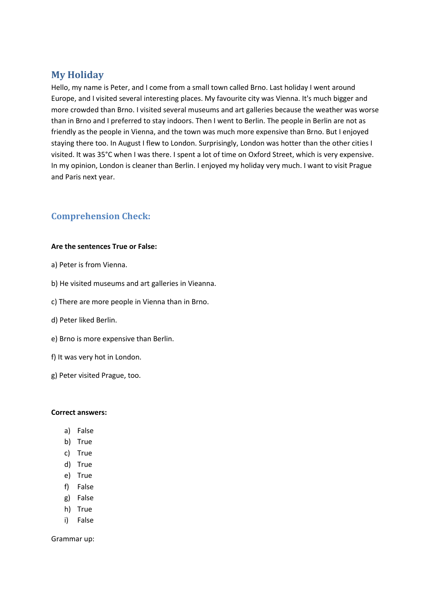# **My Holiday**

Hello, my name is Peter, and I come from a small town called Brno. Last holiday I went around Europe, and I visited several interesting places. My favourite city was Vienna. It's much bigger and more crowded than Brno. I visited several museums and art galleries because the weather was worse than in Brno and I preferred to stay indoors. Then I went to Berlin. The people in Berlin are not as friendly as the people in Vienna, and the town was much more expensive than Brno. But I enjoyed staying there too. In August I flew to London. Surprisingly, London was hotter than the other cities I visited. It was 35°C when I was there. I spent a lot of time on Oxford Street, which is very expensive. In my opinion, London is cleaner than Berlin. I enjoyed my holiday very much. I want to visit Prague and Paris next year.

### **Comprehension Check:**

### **Are the sentences True or False:**

- a) Peter is from Vienna.
- b) He visited museums and art galleries in Vieanna.
- c) There are more people in Vienna than in Brno.
- d) Peter liked Berlin.
- e) Brno is more expensive than Berlin.
- f) It was very hot in London.
- g) Peter visited Prague, too.

#### **Correct answers:**

- a) False
- b) True
- c) True
- d) True
- e) True
- f) False
- g) False
- h) True
- i) False

Grammar up: